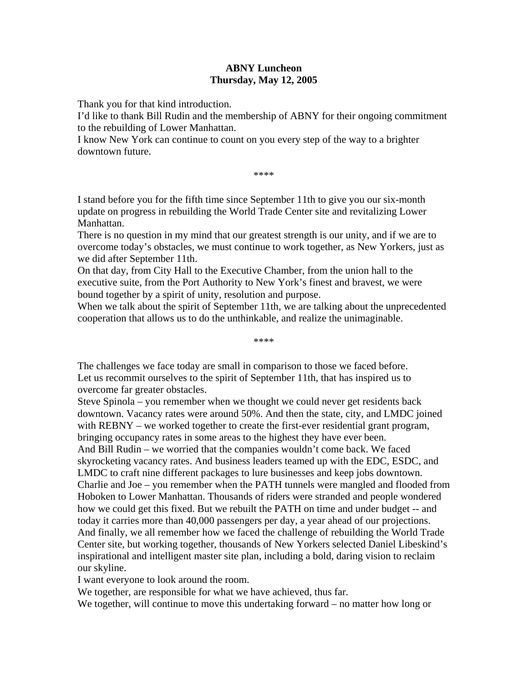## **ABNY Luncheon Thursday, May 12, 2005**

Thank you for that kind introduction.

I'd like to thank Bill Rudin and the membership of ABNY for their ongoing commitment to the rebuilding of Lower Manhattan.

I know New York can continue to count on you every step of the way to a brighter downtown future.

\*\*\*\*

I stand before you for the fifth time since September 11th to give you our six-month update on progress in rebuilding the World Trade Center site and revitalizing Lower Manhattan.

There is no question in my mind that our greatest strength is our unity, and if we are to overcome today's obstacles, we must continue to work together, as New Yorkers, just as we did after September 11th.

On that day, from City Hall to the Executive Chamber, from the union hall to the executive suite, from the Port Authority to New York's finest and bravest, we were bound together by a spirit of unity, resolution and purpose.

When we talk about the spirit of September 11th, we are talking about the unprecedented cooperation that allows us to do the unthinkable, and realize the unimaginable.

\*\*\*\*

The challenges we face today are small in comparison to those we faced before. Let us recommit ourselves to the spirit of September 11th, that has inspired us to overcome far greater obstacles.

Steve Spinola – you remember when we thought we could never get residents back downtown. Vacancy rates were around 50%. And then the state, city, and LMDC joined with REBNY – we worked together to create the first-ever residential grant program, bringing occupancy rates in some areas to the highest they have ever been. And Bill Rudin – we worried that the companies wouldn't come back. We faced skyrocketing vacancy rates. And business leaders teamed up with the EDC, ESDC, and LMDC to craft nine different packages to lure businesses and keep jobs downtown. Charlie and Joe – you remember when the PATH tunnels were mangled and flooded from Hoboken to Lower Manhattan. Thousands of riders were stranded and people wondered how we could get this fixed. But we rebuilt the PATH on time and under budget -- and today it carries more than 40,000 passengers per day, a year ahead of our projections. And finally, we all remember how we faced the challenge of rebuilding the World Trade Center site, but working together, thousands of New Yorkers selected Daniel Libeskind's inspirational and intelligent master site plan, including a bold, daring vision to reclaim our skyline.

I want everyone to look around the room.

We together, are responsible for what we have achieved, thus far.

We together, will continue to move this undertaking forward – no matter how long or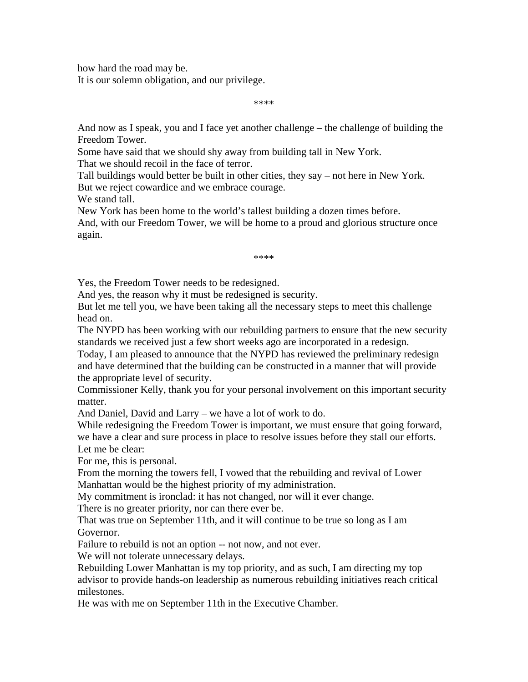how hard the road may be.

It is our solemn obligation, and our privilege.

\*\*\*\*

And now as I speak, you and I face yet another challenge – the challenge of building the Freedom Tower.

Some have said that we should shy away from building tall in New York. That we should recoil in the face of terror.

Tall buildings would better be built in other cities, they say – not here in New York. But we reject cowardice and we embrace courage.

We stand tall.

New York has been home to the world's tallest building a dozen times before. And, with our Freedom Tower, we will be home to a proud and glorious structure once again.

\*\*\*\*

Yes, the Freedom Tower needs to be redesigned.

And yes, the reason why it must be redesigned is security.

But let me tell you, we have been taking all the necessary steps to meet this challenge head on.

The NYPD has been working with our rebuilding partners to ensure that the new security standards we received just a few short weeks ago are incorporated in a redesign.

Today, I am pleased to announce that the NYPD has reviewed the preliminary redesign and have determined that the building can be constructed in a manner that will provide the appropriate level of security.

Commissioner Kelly, thank you for your personal involvement on this important security matter.

And Daniel, David and Larry – we have a lot of work to do.

While redesigning the Freedom Tower is important, we must ensure that going forward, we have a clear and sure process in place to resolve issues before they stall our efforts. Let me be clear:

For me, this is personal.

From the morning the towers fell, I vowed that the rebuilding and revival of Lower Manhattan would be the highest priority of my administration.

My commitment is ironclad: it has not changed, nor will it ever change.

There is no greater priority, nor can there ever be.

That was true on September 11th, and it will continue to be true so long as I am Governor.

Failure to rebuild is not an option -- not now, and not ever.

We will not tolerate unnecessary delays.

Rebuilding Lower Manhattan is my top priority, and as such, I am directing my top advisor to provide hands-on leadership as numerous rebuilding initiatives reach critical milestones.

He was with me on September 11th in the Executive Chamber.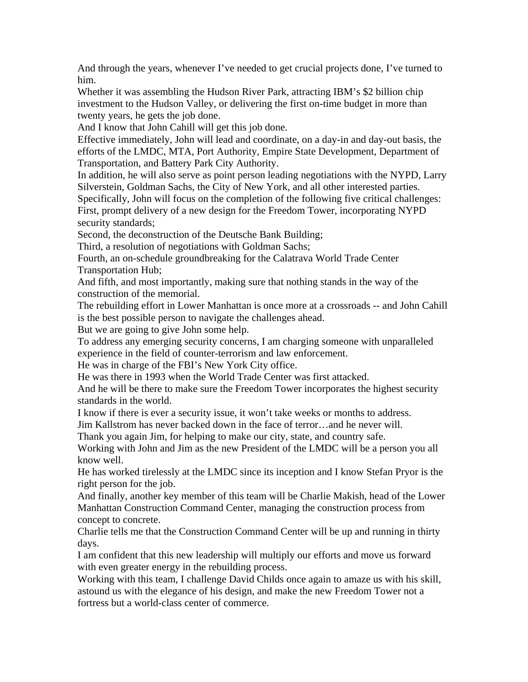And through the years, whenever I've needed to get crucial projects done, I've turned to him.

Whether it was assembling the Hudson River Park, attracting IBM's \$2 billion chip investment to the Hudson Valley, or delivering the first on-time budget in more than twenty years, he gets the job done.

And I know that John Cahill will get this job done.

Effective immediately, John will lead and coordinate, on a day-in and day-out basis, the efforts of the LMDC, MTA, Port Authority, Empire State Development, Department of Transportation, and Battery Park City Authority.

In addition, he will also serve as point person leading negotiations with the NYPD, Larry Silverstein, Goldman Sachs, the City of New York, and all other interested parties.

Specifically, John will focus on the completion of the following five critical challenges: First, prompt delivery of a new design for the Freedom Tower, incorporating NYPD security standards;

Second, the deconstruction of the Deutsche Bank Building;

Third, a resolution of negotiations with Goldman Sachs;

Fourth, an on-schedule groundbreaking for the Calatrava World Trade Center Transportation Hub;

And fifth, and most importantly, making sure that nothing stands in the way of the construction of the memorial.

The rebuilding effort in Lower Manhattan is once more at a crossroads -- and John Cahill is the best possible person to navigate the challenges ahead.

But we are going to give John some help.

To address any emerging security concerns, I am charging someone with unparalleled experience in the field of counter-terrorism and law enforcement.

He was in charge of the FBI's New York City office.

He was there in 1993 when the World Trade Center was first attacked.

And he will be there to make sure the Freedom Tower incorporates the highest security standards in the world.

I know if there is ever a security issue, it won't take weeks or months to address.

Jim Kallstrom has never backed down in the face of terror…and he never will.

Thank you again Jim, for helping to make our city, state, and country safe.

Working with John and Jim as the new President of the LMDC will be a person you all know well.

He has worked tirelessly at the LMDC since its inception and I know Stefan Pryor is the right person for the job.

And finally, another key member of this team will be Charlie Makish, head of the Lower Manhattan Construction Command Center, managing the construction process from concept to concrete.

Charlie tells me that the Construction Command Center will be up and running in thirty days.

I am confident that this new leadership will multiply our efforts and move us forward with even greater energy in the rebuilding process.

Working with this team, I challenge David Childs once again to amaze us with his skill, astound us with the elegance of his design, and make the new Freedom Tower not a fortress but a world-class center of commerce.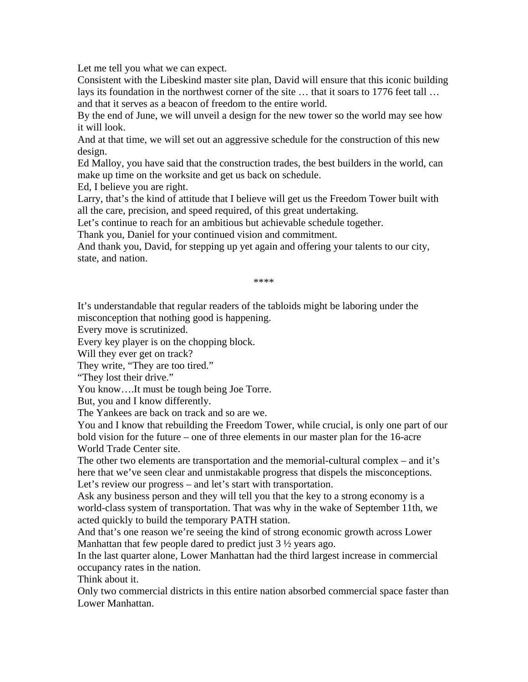Let me tell you what we can expect.

Consistent with the Libeskind master site plan, David will ensure that this iconic building lays its foundation in the northwest corner of the site … that it soars to 1776 feet tall … and that it serves as a beacon of freedom to the entire world.

By the end of June, we will unveil a design for the new tower so the world may see how it will look.

And at that time, we will set out an aggressive schedule for the construction of this new design.

Ed Malloy, you have said that the construction trades, the best builders in the world, can make up time on the worksite and get us back on schedule.

Ed, I believe you are right.

Larry, that's the kind of attitude that I believe will get us the Freedom Tower built with all the care, precision, and speed required, of this great undertaking.

Let's continue to reach for an ambitious but achievable schedule together.

Thank you, Daniel for your continued vision and commitment.

And thank you, David, for stepping up yet again and offering your talents to our city, state, and nation.

\*\*\*\*

It's understandable that regular readers of the tabloids might be laboring under the misconception that nothing good is happening.

Every move is scrutinized.

Every key player is on the chopping block.

Will they ever get on track?

They write, "They are too tired."

"They lost their drive."

You know….It must be tough being Joe Torre.

But, you and I know differently.

The Yankees are back on track and so are we.

You and I know that rebuilding the Freedom Tower, while crucial, is only one part of our bold vision for the future – one of three elements in our master plan for the 16-acre World Trade Center site.

The other two elements are transportation and the memorial-cultural complex – and it's here that we've seen clear and unmistakable progress that dispels the misconceptions. Let's review our progress – and let's start with transportation.

Ask any business person and they will tell you that the key to a strong economy is a world-class system of transportation. That was why in the wake of September 11th, we acted quickly to build the temporary PATH station.

And that's one reason we're seeing the kind of strong economic growth across Lower Manhattan that few people dared to predict just  $3\frac{1}{2}$  years ago.

In the last quarter alone, Lower Manhattan had the third largest increase in commercial occupancy rates in the nation.

Think about it.

Only two commercial districts in this entire nation absorbed commercial space faster than Lower Manhattan.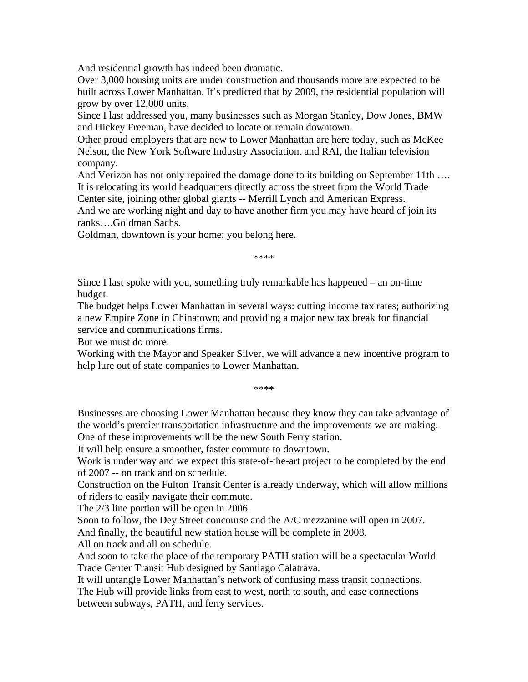And residential growth has indeed been dramatic.

Over 3,000 housing units are under construction and thousands more are expected to be built across Lower Manhattan. It's predicted that by 2009, the residential population will grow by over 12,000 units.

Since I last addressed you, many businesses such as Morgan Stanley, Dow Jones, BMW and Hickey Freeman, have decided to locate or remain downtown.

Other proud employers that are new to Lower Manhattan are here today, such as McKee Nelson, the New York Software Industry Association, and RAI, the Italian television company.

And Verizon has not only repaired the damage done to its building on September 11th …. It is relocating its world headquarters directly across the street from the World Trade Center site, joining other global giants -- Merrill Lynch and American Express.

And we are working night and day to have another firm you may have heard of join its ranks….Goldman Sachs.

Goldman, downtown is your home; you belong here.

\*\*\*\*

Since I last spoke with you, something truly remarkable has happened – an on-time budget.

The budget helps Lower Manhattan in several ways: cutting income tax rates; authorizing a new Empire Zone in Chinatown; and providing a major new tax break for financial service and communications firms.

But we must do more.

Working with the Mayor and Speaker Silver, we will advance a new incentive program to help lure out of state companies to Lower Manhattan.

\*\*\*\*

Businesses are choosing Lower Manhattan because they know they can take advantage of the world's premier transportation infrastructure and the improvements we are making. One of these improvements will be the new South Ferry station.

It will help ensure a smoother, faster commute to downtown.

Work is under way and we expect this state-of-the-art project to be completed by the end of 2007 -- on track and on schedule.

Construction on the Fulton Transit Center is already underway, which will allow millions of riders to easily navigate their commute.

The 2/3 line portion will be open in 2006.

Soon to follow, the Dey Street concourse and the A/C mezzanine will open in 2007. And finally, the beautiful new station house will be complete in 2008.

All on track and all on schedule.

And soon to take the place of the temporary PATH station will be a spectacular World Trade Center Transit Hub designed by Santiago Calatrava.

It will untangle Lower Manhattan's network of confusing mass transit connections.

The Hub will provide links from east to west, north to south, and ease connections between subways, PATH, and ferry services.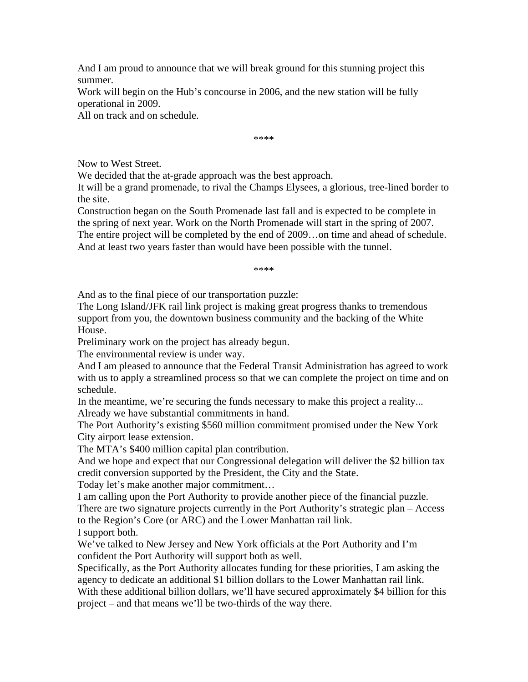And I am proud to announce that we will break ground for this stunning project this summer.

Work will begin on the Hub's concourse in 2006, and the new station will be fully operational in 2009.

All on track and on schedule.

\*\*\*\*

Now to West Street.

We decided that the at-grade approach was the best approach.

It will be a grand promenade, to rival the Champs Elysees, a glorious, tree-lined border to the site.

Construction began on the South Promenade last fall and is expected to be complete in the spring of next year. Work on the North Promenade will start in the spring of 2007. The entire project will be completed by the end of 2009…on time and ahead of schedule. And at least two years faster than would have been possible with the tunnel.

\*\*\*\*

And as to the final piece of our transportation puzzle:

The Long Island/JFK rail link project is making great progress thanks to tremendous support from you, the downtown business community and the backing of the White House.

Preliminary work on the project has already begun.

The environmental review is under way.

And I am pleased to announce that the Federal Transit Administration has agreed to work with us to apply a streamlined process so that we can complete the project on time and on schedule.

In the meantime, we're securing the funds necessary to make this project a reality... Already we have substantial commitments in hand.

The Port Authority's existing \$560 million commitment promised under the New York City airport lease extension.

The MTA's \$400 million capital plan contribution.

And we hope and expect that our Congressional delegation will deliver the \$2 billion tax credit conversion supported by the President, the City and the State.

Today let's make another major commitment…

I am calling upon the Port Authority to provide another piece of the financial puzzle. There are two signature projects currently in the Port Authority's strategic plan – Access to the Region's Core (or ARC) and the Lower Manhattan rail link. I support both.

We've talked to New Jersey and New York officials at the Port Authority and I'm confident the Port Authority will support both as well.

Specifically, as the Port Authority allocates funding for these priorities, I am asking the agency to dedicate an additional \$1 billion dollars to the Lower Manhattan rail link. With these additional billion dollars, we'll have secured approximately \$4 billion for this project – and that means we'll be two-thirds of the way there.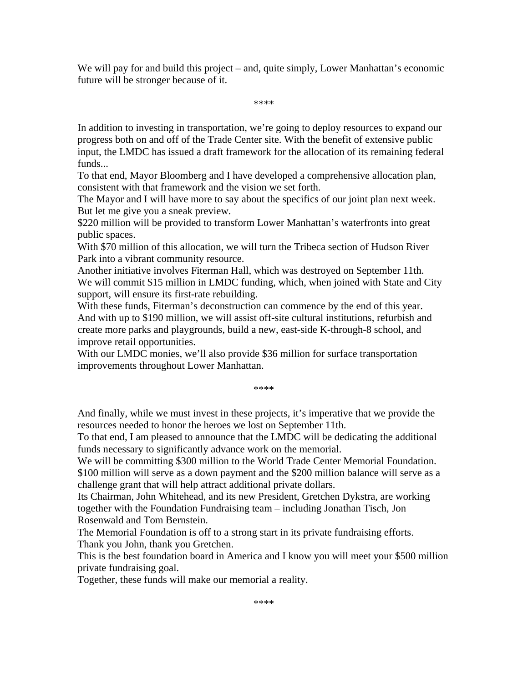We will pay for and build this project – and, quite simply, Lower Manhattan's economic future will be stronger because of it.

\*\*\*\*

In addition to investing in transportation, we're going to deploy resources to expand our progress both on and off of the Trade Center site. With the benefit of extensive public input, the LMDC has issued a draft framework for the allocation of its remaining federal funds...

To that end, Mayor Bloomberg and I have developed a comprehensive allocation plan, consistent with that framework and the vision we set forth.

The Mayor and I will have more to say about the specifics of our joint plan next week. But let me give you a sneak preview.

\$220 million will be provided to transform Lower Manhattan's waterfronts into great public spaces.

With \$70 million of this allocation, we will turn the Tribeca section of Hudson River Park into a vibrant community resource.

Another initiative involves Fiterman Hall, which was destroyed on September 11th. We will commit \$15 million in LMDC funding, which, when joined with State and City support, will ensure its first-rate rebuilding.

With these funds, Fiterman's deconstruction can commence by the end of this year. And with up to \$190 million, we will assist off-site cultural institutions, refurbish and create more parks and playgrounds, build a new, east-side K-through-8 school, and improve retail opportunities.

With our LMDC monies, we'll also provide \$36 million for surface transportation improvements throughout Lower Manhattan.

\*\*\*\*

And finally, while we must invest in these projects, it's imperative that we provide the resources needed to honor the heroes we lost on September 11th.

To that end, I am pleased to announce that the LMDC will be dedicating the additional funds necessary to significantly advance work on the memorial.

We will be committing \$300 million to the World Trade Center Memorial Foundation. \$100 million will serve as a down payment and the \$200 million balance will serve as a challenge grant that will help attract additional private dollars.

Its Chairman, John Whitehead, and its new President, Gretchen Dykstra, are working together with the Foundation Fundraising team – including Jonathan Tisch, Jon Rosenwald and Tom Bernstein.

The Memorial Foundation is off to a strong start in its private fundraising efforts. Thank you John, thank you Gretchen.

This is the best foundation board in America and I know you will meet your \$500 million private fundraising goal.

Together, these funds will make our memorial a reality.